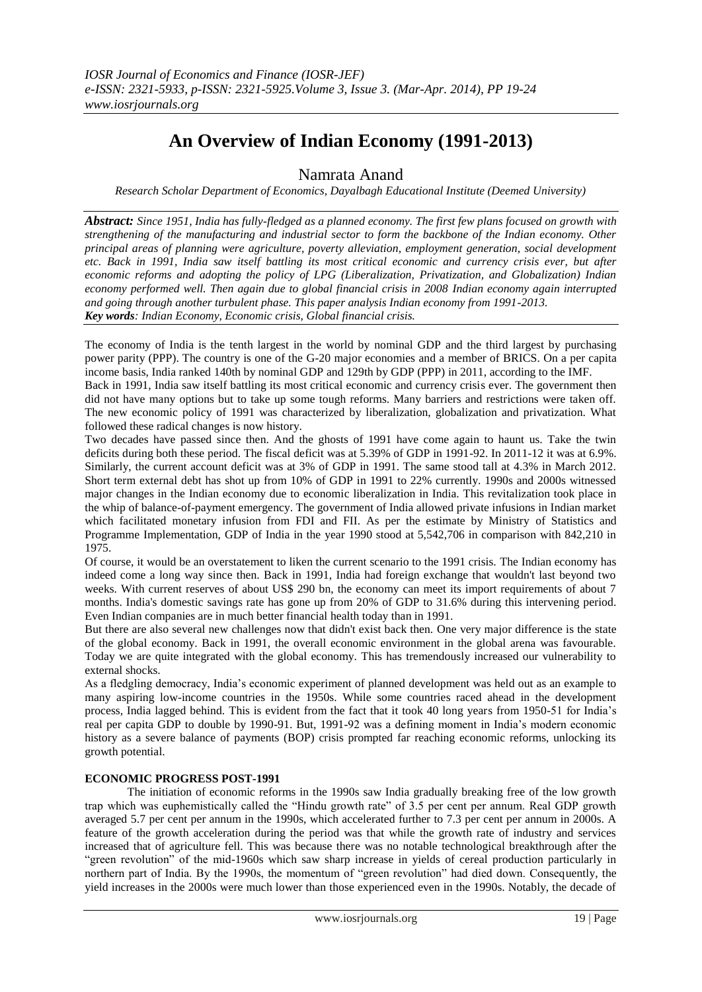# **An Overview of Indian Economy (1991-2013)**

Namrata Anand

*Research Scholar Department of Economics, Dayalbagh Educational Institute (Deemed University)*

*Abstract: Since 1951, India has fully-fledged as a planned economy. The first few plans focused on growth with strengthening of the manufacturing and industrial sector to form the backbone of the Indian economy. Other principal areas of planning were agriculture, poverty alleviation, employment generation, social development etc. Back in 1991, India saw itself battling its most critical economic and currency crisis ever, but after economic reforms and adopting the policy of LPG (Liberalization, Privatization, and Globalization) Indian economy performed well. Then again due to global financial crisis in 2008 Indian economy again interrupted and going through another turbulent phase. This paper analysis Indian economy from 1991-2013. Key words: Indian Economy, Economic crisis, Global financial crisis.*

The [economy](http://en.wikipedia.org/wiki/Economy) of [India](http://en.wikipedia.org/wiki/India) is the [tenth largest](http://en.wikipedia.org/wiki/List_of_countries_by_GDP_%28nominal%29) in the world by [nominal GDP](http://en.wikipedia.org/wiki/Gross_domestic_product) and the [third largest](http://en.wikipedia.org/wiki/List_of_countries_by_GDP_%28PPP%29) by [purchasing](http://en.wikipedia.org/wiki/Purchasing_power_parity)  [power parity](http://en.wikipedia.org/wiki/Purchasing_power_parity) (PPP). The country is one of the [G-20 major economies](http://en.wikipedia.org/wiki/G-20_major_economies) and a member of [BRICS.](http://en.wikipedia.org/wiki/BRICS) On a [per capita](http://en.wikipedia.org/wiki/Per_capita_income)  [income](http://en.wikipedia.org/wiki/Per_capita_income) basis, India ranke[d 140th by nominal GDP](http://en.wikipedia.org/wiki/List_of_countries_by_GDP_%28nominal%29_per_capita) and [129th by GDP \(PPP\)](http://en.wikipedia.org/wiki/List_of_countries_by_GDP_%28PPP%29_per_capita) in 2011, according to the [IMF.](http://en.wikipedia.org/wiki/International_Monetary_Fund) 

Back in 1991, India saw itself battling its most critical economic and currency crisis ever. The government then did not have many options but to take up some tough reforms. Many barriers and restrictions were taken off. The new economic policy of 1991 was characterized by liberalization, globalization and privatization. What followed these radical changes is now history.

Two decades have passed since then. And the ghosts of 1991 have come again to haunt us. Take the twin deficits during both these period. The fiscal deficit was at 5.39% of GDP in 1991-92. In 2011-12 it was at 6.9%. Similarly, the current account deficit was at 3% of GDP in 1991. The same stood tall at 4.3% in March 2012. Short term external debt has shot up from 10% of GDP in 1991 to 22% currently. 1990s and 2000s witnessed major changes in the Indian economy due to economic liberalization in India. This revitalization took place in the whip of balance-of-payment emergency. The government of India allowed private infusions in Indian market which facilitated monetary infusion from FDI and FII. As per the estimate by Ministry of Statistics and Programme Implementation, GDP of India in the year 1990 stood at 5,542,706 in comparison with 842,210 in 1975.

Of course, it would be an overstatement to liken the current scenario to the 1991 crisis. The Indian economy has indeed come a long way since then. Back in 1991, India had foreign exchange that wouldn't last beyond two weeks. With current reserves of about US\$ 290 bn, the economy can meet its import requirements of about 7 months. India's domestic savings rate has gone up from 20% of GDP to 31.6% during this intervening period. Even Indian companies are in much better financial health today than in 1991.

But there are also several new challenges now that didn't exist back then. One very major difference is the state of the global economy. Back in 1991, the overall economic environment in the global arena was favourable. Today we are quite integrated with the global economy. This has tremendously increased our vulnerability to external shocks.

As a fledgling democracy, India's economic experiment of planned development was held out as an example to many aspiring low-income countries in the 1950s. While some countries raced ahead in the development process, India lagged behind. This is evident from the fact that it took 40 long years from 1950-51 for India's real per capita GDP to double by 1990-91. But, 1991-92 was a defining moment in India's modern economic history as a severe balance of payments (BOP) crisis prompted far reaching economic reforms, unlocking its growth potential.

## **ECONOMIC PROGRESS POST-1991**

The initiation of economic reforms in the 1990s saw India gradually breaking free of the low growth trap which was euphemistically called the "Hindu growth rate" of 3.5 per cent per annum. Real GDP growth averaged 5.7 per cent per annum in the 1990s, which accelerated further to 7.3 per cent per annum in 2000s. A feature of the growth acceleration during the period was that while the growth rate of industry and services increased that of agriculture fell. This was because there was no notable technological breakthrough after the "green revolution" of the mid-1960s which saw sharp increase in yields of cereal production particularly in northern part of India. By the 1990s, the momentum of "green revolution" had died down. Consequently, the yield increases in the 2000s were much lower than those experienced even in the 1990s. Notably, the decade of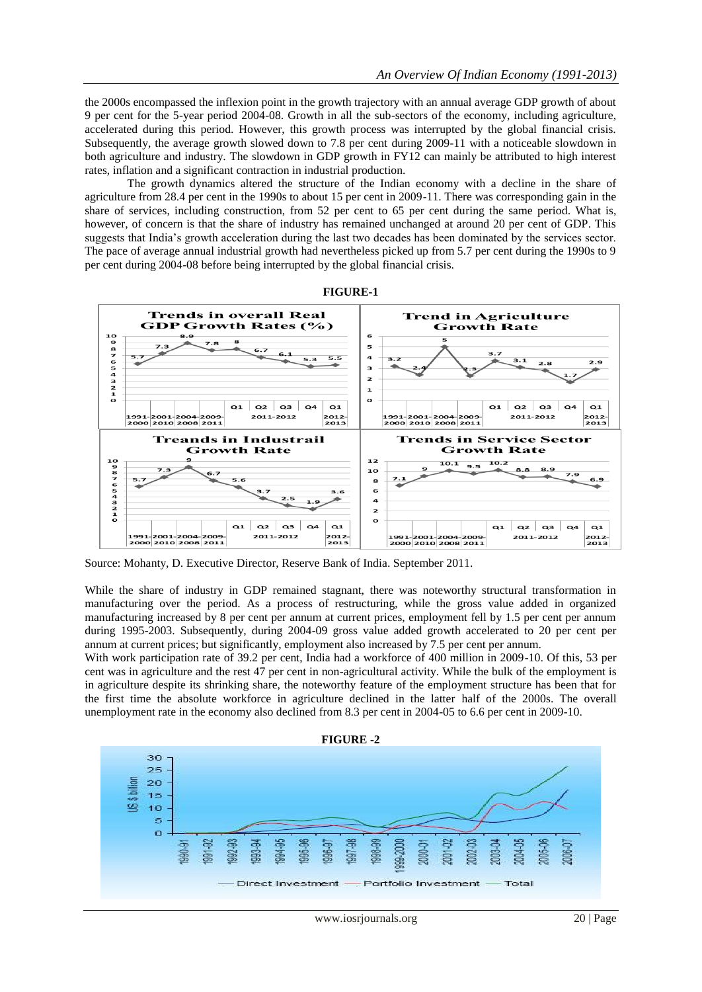the 2000s encompassed the inflexion point in the growth trajectory with an annual average GDP growth of about 9 per cent for the 5-year period 2004-08. Growth in all the sub-sectors of the economy, including agriculture, accelerated during this period. However, this growth process was interrupted by the global financial crisis. Subsequently, the average growth slowed down to 7.8 per cent during 2009-11 with a noticeable slowdown in both agriculture and industry. The slowdown in GDP growth in FY12 can mainly be attributed to high interest rates, inflation and a significant contraction in industrial production.

The growth dynamics altered the structure of the Indian economy with a decline in the share of agriculture from 28.4 per cent in the 1990s to about 15 per cent in 2009-11. There was corresponding gain in the share of services, including construction, from 52 per cent to 65 per cent during the same period. What is, however, of concern is that the share of industry has remained unchanged at around 20 per cent of GDP. This suggests that India's growth acceleration during the last two decades has been dominated by the services sector. The pace of average annual industrial growth had nevertheless picked up from 5.7 per cent during the 1990s to 9 per cent during 2004-08 before being interrupted by the global financial crisis.





Source: Mohanty, D. Executive Director, Reserve Bank of India. September 2011.

While the share of industry in GDP remained stagnant, there was noteworthy structural transformation in manufacturing over the period. As a process of restructuring, while the gross value added in organized manufacturing increased by 8 per cent per annum at current prices, employment fell by 1.5 per cent per annum during 1995-2003. Subsequently, during 2004-09 gross value added growth accelerated to 20 per cent per annum at current prices; but significantly, employment also increased by 7.5 per cent per annum.

With work participation rate of 39.2 per cent, India had a workforce of 400 million in 2009-10. Of this, 53 per cent was in agriculture and the rest 47 per cent in non-agricultural activity. While the bulk of the employment is in agriculture despite its shrinking share, the noteworthy feature of the employment structure has been that for the first time the absolute workforce in agriculture declined in the latter half of the 2000s. The overall unemployment rate in the economy also declined from 8.3 per cent in 2004-05 to 6.6 per cent in 2009-10.

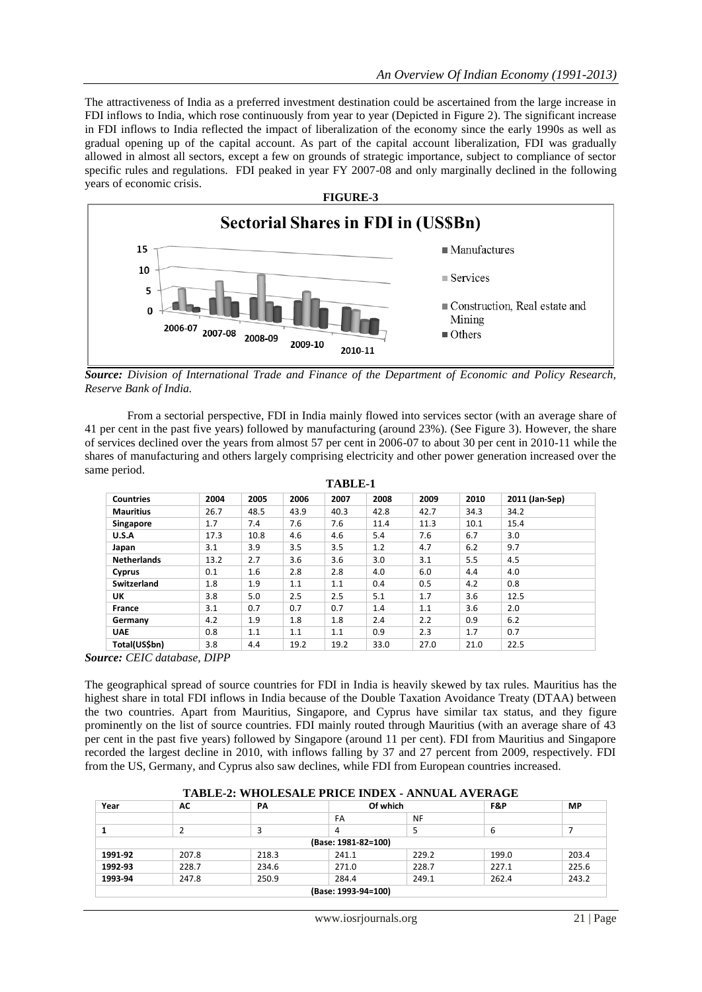The attractiveness of India as a preferred investment destination could be ascertained from the large increase in FDI inflows to India, which rose continuously from year to year (Depicted in Figure 2). The significant increase in FDI inflows to India reflected the impact of liberalization of the economy since the early 1990s as well as gradual opening up of the capital account. As part of the capital account liberalization, FDI was gradually allowed in almost all sectors, except a few on grounds of strategic importance, subject to compliance of sector specific rules and regulations. FDI peaked in year FY 2007-08 and only marginally declined in the following years of economic crisis.



*Source: Division of International Trade and Finance of the Department of Economic and Policy Research, Reserve Bank of India.*

From a sectorial perspective, FDI in India mainly flowed into services sector (with an average share of 41 per cent in the past five years) followed by manufacturing (around 23%). (See Figure 3). However, the share of services declined over the years from almost 57 per cent in 2006-07 to about 30 per cent in 2010-11 while the shares of manufacturing and others largely comprising electricity and other power generation increased over the same period. **TABLE-1**

| 1 ABLE-1           |      |                  |      |      |      |      |      |                |
|--------------------|------|------------------|------|------|------|------|------|----------------|
| <b>Countries</b>   | 2004 | 2005             | 2006 | 2007 | 2008 | 2009 | 2010 | 2011 (Jan-Sep) |
| <b>Mauritius</b>   | 26.7 | 48.5             | 43.9 | 40.3 | 42.8 | 42.7 | 34.3 | 34.2           |
| Singapore          | 1.7  | 7.4              | 7.6  | 7.6  | 11.4 | 11.3 | 10.1 | 15.4           |
| U.S.A              | 17.3 | 10.8             | 4.6  | 4.6  | 5.4  | 7.6  | 6.7  | 3.0            |
| Japan              | 3.1  | 3.9              | 3.5  | 3.5  | 1.2  | 4.7  | 6.2  | 9.7            |
| <b>Netherlands</b> | 13.2 | 2.7              | 3.6  | 3.6  | 3.0  | 3.1  | 5.5  | 4.5            |
| Cyprus             | 0.1  | $1.6\phantom{0}$ | 2.8  | 2.8  | 4.0  | 6.0  | 4.4  | 4.0            |
| Switzerland        | 1.8  | 1.9              | 1.1  | 1.1  | 0.4  | 0.5  | 4.2  | 0.8            |
| UK                 | 3.8  | 5.0              | 2.5  | 2.5  | 5.1  | 1.7  | 3.6  | 12.5           |
| France             | 3.1  | 0.7              | 0.7  | 0.7  | 1.4  | 1.1  | 3.6  | 2.0            |
| Germany            | 4.2  | 1.9              | 1.8  | 1.8  | 2.4  | 2.2  | 0.9  | 6.2            |
| <b>UAE</b>         | 0.8  | 1.1              | 1.1  | 1.1  | 0.9  | 2.3  | 1.7  | 0.7            |
| Total(US\$bn)      | 3.8  | 4.4              | 19.2 | 19.2 | 33.0 | 27.0 | 21.0 | 22.5           |

*Source: CEIC database, DIPP* 

The geographical spread of source countries for FDI in India is heavily skewed by tax rules. Mauritius has the highest share in total FDI inflows in India because of the Double Taxation Avoidance Treaty (DTAA) between the two countries. Apart from Mauritius, Singapore, and Cyprus have similar tax status, and they figure prominently on the list of source countries. FDI mainly routed through Mauritius (with an average share of 43 per cent in the past five years) followed by Singapore (around 11 per cent). FDI from Mauritius and Singapore recorded the largest decline in 2010, with inflows falling by 37 and 27 percent from 2009, respectively. FDI from the US, Germany, and Cyprus also saw declines, while FDI from European countries increased.

| TABLE-2: WHOLESALE PRICE INDEX - ANNUAL AVERAGE |       |       |       |           |       |           |  |
|-------------------------------------------------|-------|-------|-------|-----------|-------|-----------|--|
| Year                                            | AC    | PA    |       | Of which  |       | <b>MP</b> |  |
|                                                 |       |       | FA    | <b>NF</b> |       |           |  |
|                                                 |       |       |       |           | b     |           |  |
| (Base: 1981-82=100)                             |       |       |       |           |       |           |  |
| 1991-92                                         | 207.8 | 218.3 | 241.1 | 229.2     | 199.0 | 203.4     |  |
| 1992-93                                         | 228.7 | 234.6 | 271.0 | 228.7     | 227.1 | 225.6     |  |
| 1993-94                                         | 247.8 | 250.9 | 284.4 | 249.1     | 262.4 | 243.2     |  |
| (Base: 1993-94=100)                             |       |       |       |           |       |           |  |

## **TABLE-2: WHOLESALE PRICE INDEX - ANNUAL AVERAGE**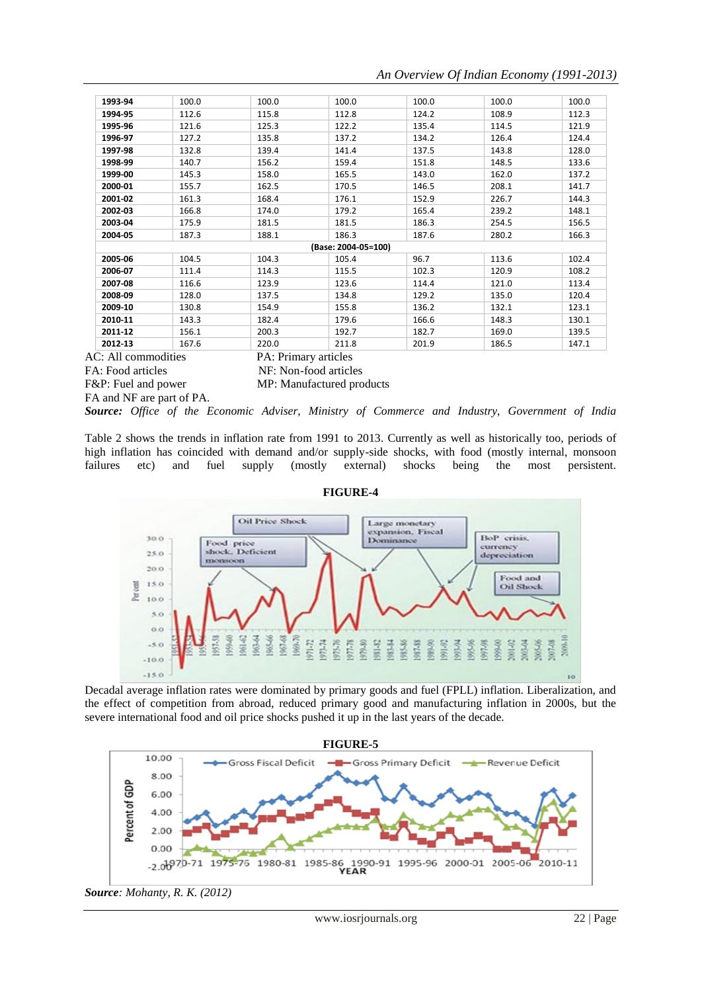## *An Overview Of Indian Economy (1991-2013)*

| 1993-94 | 100.0 | 100.0 | 100.0               | 100.0 | 100.0 | 100.0 |
|---------|-------|-------|---------------------|-------|-------|-------|
| 1994-95 | 112.6 | 115.8 | 112.8               | 124.2 | 108.9 | 112.3 |
| 1995-96 | 121.6 | 125.3 | 122.2               | 135.4 | 114.5 | 121.9 |
| 1996-97 | 127.2 | 135.8 | 137.2               | 134.2 | 126.4 | 124.4 |
| 1997-98 | 132.8 | 139.4 | 141.4               | 137.5 | 143.8 | 128.0 |
| 1998-99 | 140.7 | 156.2 | 159.4               | 151.8 | 148.5 | 133.6 |
| 1999-00 | 145.3 | 158.0 | 165.5               | 143.0 | 162.0 | 137.2 |
| 2000-01 | 155.7 | 162.5 | 170.5               | 146.5 | 208.1 | 141.7 |
| 2001-02 | 161.3 | 168.4 | 176.1               | 152.9 | 226.7 | 144.3 |
| 2002-03 | 166.8 | 174.0 | 179.2               | 165.4 | 239.2 | 148.1 |
| 2003-04 | 175.9 | 181.5 | 181.5               | 186.3 | 254.5 | 156.5 |
| 2004-05 | 187.3 | 188.1 | 186.3               | 187.6 | 280.2 | 166.3 |
|         |       |       | (Base: 2004-05=100) |       |       |       |
| 2005-06 | 104.5 | 104.3 | 105.4               | 96.7  | 113.6 | 102.4 |
| 2006-07 | 111.4 | 114.3 | 115.5               | 102.3 | 120.9 | 108.2 |
| 2007-08 | 116.6 | 123.9 | 123.6               | 114.4 | 121.0 | 113.4 |
| 2008-09 | 128.0 | 137.5 | 134.8               | 129.2 | 135.0 | 120.4 |
| 2009-10 | 130.8 | 154.9 | 155.8               | 136.2 | 132.1 | 123.1 |
| 2010-11 | 143.3 | 182.4 | 179.6               | 166.6 | 148.3 | 130.1 |
| 2011-12 | 156.1 | 200.3 | 192.7               | 182.7 | 169.0 | 139.5 |
| 2012-13 | 167.6 | 220.0 | 211.8               | 201.9 | 186.5 | 147.1 |

FA: Food articles NF: Non-food articles

AC: All commodities PA: Primary articles

F&P: Fuel and power MP: Manufactured products

FA and NF are part of PA.

*Source: Office of the Economic Adviser, Ministry of Commerce and Industry, Government of India*

Table 2 shows the trends in inflation rate from 1991 to 2013. Currently as well as historically too, periods of high inflation has coincided with demand and/or supply-side shocks, with food (mostly internal, monsoon failures etc) and fuel supply (mostly external) shocks being the most persistent.



**FIGURE-4**

Decadal average inflation rates were dominated by primary goods and fuel (FPLL) inflation. Liberalization, and the effect of competition from abroad, reduced primary good and manufacturing inflation in 2000s, but the severe international food and oil price shocks pushed it up in the last years of the decade.



*Source: Mohanty, R. K. (2012)*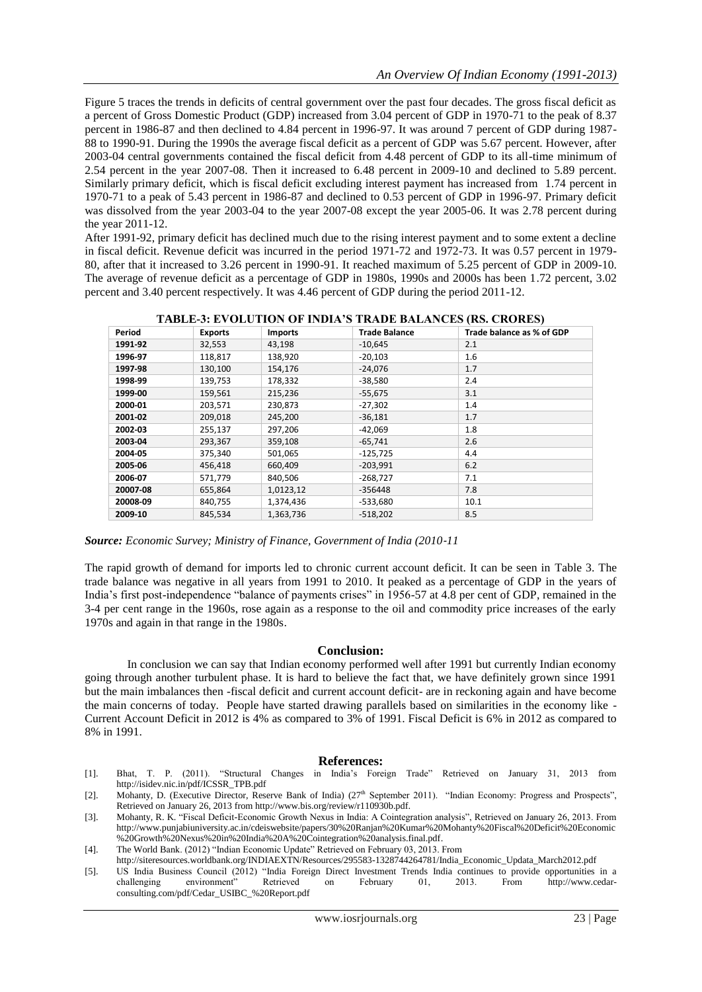Figure 5 traces the trends in deficits of central government over the past four decades. The gross fiscal deficit as a percent of Gross Domestic Product (GDP) increased from 3.04 percent of GDP in 1970-71 to the peak of 8.37 percent in 1986-87 and then declined to 4.84 percent in 1996-97. It was around 7 percent of GDP during 1987- 88 to 1990-91. During the 1990s the average fiscal deficit as a percent of GDP was 5.67 percent. However, after 2003-04 central governments contained the fiscal deficit from 4.48 percent of GDP to its all-time minimum of 2.54 percent in the year 2007-08. Then it increased to 6.48 percent in 2009-10 and declined to 5.89 percent. Similarly primary deficit, which is fiscal deficit excluding interest payment has increased from 1.74 percent in 1970-71 to a peak of 5.43 percent in 1986-87 and declined to 0.53 percent of GDP in 1996-97. Primary deficit was dissolved from the year 2003-04 to the year 2007-08 except the year 2005-06. It was 2.78 percent during the year 2011-12.

After 1991-92, primary deficit has declined much due to the rising interest payment and to some extent a decline in fiscal deficit. Revenue deficit was incurred in the period 1971-72 and 1972-73. It was 0.57 percent in 1979- 80, after that it increased to 3.26 percent in 1990-91. It reached maximum of 5.25 percent of GDP in 2009-10. The average of revenue deficit as a percentage of GDP in 1980s, 1990s and 2000s has been 1.72 percent, 3.02 percent and 3.40 percent respectively. It was 4.46 percent of GDP during the period 2011-12.

| Period   | <b>Exports</b> | <b>Imports</b> | <b>Trade Balance</b> | Trade balance as % of GDP |
|----------|----------------|----------------|----------------------|---------------------------|
| 1991-92  | 32,553         | 43,198         | $-10,645$            | 2.1                       |
| 1996-97  | 118,817        | 138,920        | $-20,103$            | 1.6                       |
| 1997-98  | 130,100        | 154,176        | $-24,076$            | 1.7                       |
| 1998-99  | 139,753        | 178,332        | $-38,580$            | 2.4                       |
| 1999-00  | 159,561        | 215,236        | $-55,675$            | 3.1                       |
| 2000-01  | 203,571        | 230,873        | $-27,302$            | 1.4                       |
| 2001-02  | 209,018        | 245,200        | $-36,181$            | 1.7                       |
| 2002-03  | 255,137        | 297,206        | $-42,069$            | 1.8                       |
| 2003-04  | 293,367        | 359,108        | $-65,741$            | 2.6                       |
| 2004-05  | 375.340        | 501,065        | $-125.725$           | 4.4                       |
| 2005-06  | 456,418        | 660,409        | $-203,991$           | 6.2                       |
| 2006-07  | 571,779        | 840,506        | $-268,727$           | 7.1                       |
| 20007-08 | 655,864        | 1,0123,12      | $-356448$            | 7.8                       |
| 20008-09 | 840,755        | 1,374,436      | -533,680             | 10.1                      |
| 2009-10  | 845,534        | 1,363,736      | $-518,202$           | 8.5                       |

**TABLE-3: EVOLUTION OF INDIA'S TRADE BALANCES (RS. CRORES)**

*Source: Economic Survey; Ministry of Finance, Government of India (2010*‐*11*

The rapid growth of demand for imports led to chronic current account deficit. It can be seen in Table 3. The trade balance was negative in all years from 1991 to 2010. It peaked as a percentage of GDP in the years of India's first post-independence "balance of payments crises" in 1956-57 at 4.8 per cent of GDP, remained in the 3-4 per cent range in the 1960s, rose again as a response to the oil and commodity price increases of the early 1970s and again in that range in the 1980s.

## **Conclusion:**

In conclusion we can say that Indian economy performed well after 1991 but currently Indian economy going through another turbulent phase. It is hard to believe the fact that, we have definitely grown since 1991 but the main imbalances then -fiscal deficit and current account deficit- are in reckoning again and have become the main concerns of today. People have started drawing parallels based on similarities in the economy like - Current Account Deficit in 2012 is 4% as compared to 3% of 1991. Fiscal Deficit is 6% in 2012 as compared to 8% in 1991.

## **References:**

- [1]. Bhat, T. P. (2011). "Structural Changes in India's Foreign Trade" Retrieved on January 31, 2013 from [http://isidev.nic.in/pdf/ICSSR\\_TPB.pdf](http://isidev.nic.in/pdf/ICSSR_TPB.pdf)
- [2]. Mohanty, D. (Executive Director, Reserve Bank of India) (27<sup>th</sup> September 2011). "Indian Economy: Progress and Prospects", Retrieved on January 26, 2013 from [http://www.bis.org/review/r110930b.pdf.](http://www.bis.org/review/r110930b.pdf)
- [3]. Mohanty, R. K. "Fiscal Deficit-Economic Growth Nexus in India: A Cointegration analysis", Retrieved on January 26, 2013. From [http://www.punjabiuniversity.ac.in/cdeiswebsite/papers/30%20Ranjan%20Kumar%20Mohanty%20Fiscal%20Deficit%20Economic](http://www.punjabiuniversity.ac.in/cdeiswebsite/papers/30%20Ranjan%20Kumar%20Mohanty%20Fiscal%20Deficit%20Economic%20Growth%20Nexus%20in%20India%20A%20Cointegration%20analysis.final.pdf) [%20Growth%20Nexus%20in%20India%20A%20Cointegration%20analysis.final.pdf.](http://www.punjabiuniversity.ac.in/cdeiswebsite/papers/30%20Ranjan%20Kumar%20Mohanty%20Fiscal%20Deficit%20Economic%20Growth%20Nexus%20in%20India%20A%20Cointegration%20analysis.final.pdf)
- [4]. The World Bank. (2012) "Indian Economic Update" Retrieved on February 03, 2013. From
- http://siteresources.worldbank.org/INDIAEXTN/Resources/295583-1328744264781/India\_Economic\_Updata\_March2012.pdf
- [5]. US India Business Council (2012) "India Foreign Direct Investment Trends India continues to provide opportunities in a challenging environment" Retrieved on February 01, 2013. From [http://www.cedar](http://www.cedar-consulting.com/pdf/Cedar_USIBC_%20Report.pdf)[consulting.com/pdf/Cedar\\_USIBC\\_%20Report.pdf](http://www.cedar-consulting.com/pdf/Cedar_USIBC_%20Report.pdf)